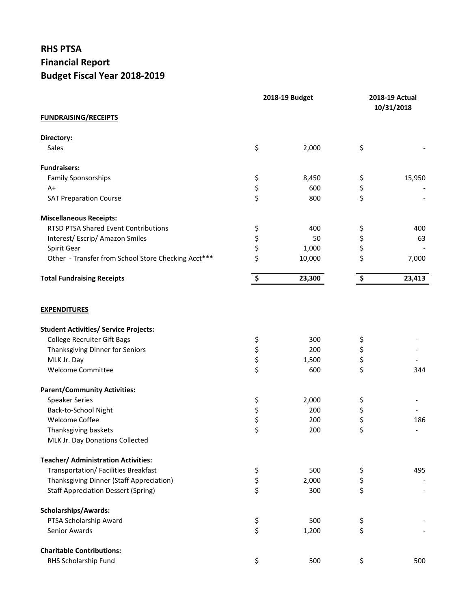## **RHS PTSA Financial Report Budget Fiscal Year 2018-2019**

|                                                     | 2018-19 Budget       |        | 2018-19 Actual<br>10/31/2018 |        |
|-----------------------------------------------------|----------------------|--------|------------------------------|--------|
| <b>FUNDRAISING/RECEIPTS</b>                         |                      |        |                              |        |
| Directory:                                          |                      |        |                              |        |
| Sales                                               | \$                   | 2,000  | \$                           |        |
| <b>Fundraisers:</b>                                 |                      |        |                              |        |
| <b>Family Sponsorships</b>                          | \$                   | 8,450  | \$                           | 15,950 |
| $A+$                                                | \$<br>\$             | 600    | \$                           |        |
| <b>SAT Preparation Course</b>                       |                      | 800    | \$                           |        |
| <b>Miscellaneous Receipts:</b>                      |                      |        |                              |        |
| RTSD PTSA Shared Event Contributions                | \$                   | 400    | \$                           | 400    |
| Interest/Escrip/Amazon Smiles                       |                      | 50     | \$                           | 63     |
| Spirit Gear                                         | \$<br>\$             | 1,000  | \$                           |        |
| Other - Transfer from School Store Checking Acct*** | \$                   | 10,000 | \$                           | 7,000  |
| <b>Total Fundraising Receipts</b>                   | $\boldsymbol{\zeta}$ | 23,300 | \$                           | 23,413 |
| <b>EXPENDITURES</b>                                 |                      |        |                              |        |
| <b>Student Activities/ Service Projects:</b>        |                      |        |                              |        |
| <b>College Recruiter Gift Bags</b>                  | \$                   | 300    | \$                           |        |
| Thanksgiving Dinner for Seniors                     |                      | 200    | \$                           |        |
| MLK Jr. Day                                         |                      | 1,500  | \$                           |        |
| Welcome Committee                                   | \$\$\$               | 600    | \$                           | 344    |
| <b>Parent/Community Activities:</b>                 |                      |        |                              |        |
| <b>Speaker Series</b>                               | \$                   | 2,000  | \$                           |        |
| Back-to-School Night                                |                      | 200    | \$                           |        |
| Welcome Coffee                                      | \$\$\$               | 200    | \$                           | 186    |
| Thanksgiving baskets                                |                      | 200    | \$                           |        |
| MLK Jr. Day Donations Collected                     |                      |        |                              |        |
| <b>Teacher/ Administration Activities:</b>          |                      |        |                              |        |
| Transportation/ Facilities Breakfast                |                      | 500    |                              | 495    |
| Thanksgiving Dinner (Staff Appreciation)            |                      | 2,000  | \$<br>\$                     |        |
| <b>Staff Appreciation Dessert (Spring)</b>          | \$<br>\$<br>\$       | 300    | \$                           |        |
| <b>Scholarships/Awards:</b>                         |                      |        |                              |        |
| PTSA Scholarship Award                              |                      | 500    | \$                           |        |
| Senior Awards                                       | \$<br>\$             | 1,200  | \$                           |        |
| <b>Charitable Contributions:</b>                    |                      |        |                              |        |
| RHS Scholarship Fund                                | \$                   | 500    | \$                           | 500    |